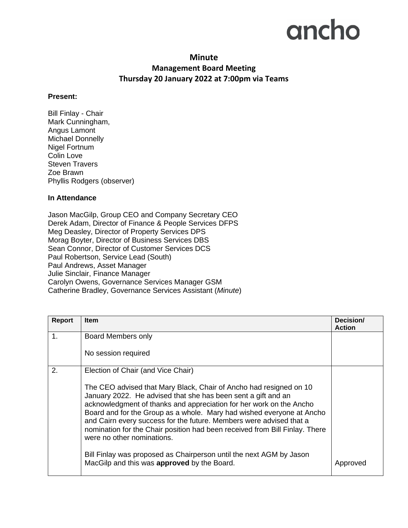## ancho

## **Minute Management Board Meeting Thursday 20 January 2022 at 7:00pm via Teams**

## **Present:**

Bill Finlay - Chair Mark Cunningham, Angus Lamont Michael Donnelly Nigel Fortnum Colin Love Steven Travers Zoe Brawn Phyllis Rodgers (observer)

## **In Attendance**

Jason MacGilp, Group CEO and Company Secretary CEO Derek Adam, Director of Finance & People Services DFPS Meg Deasley, Director of Property Services DPS Morag Boyter, Director of Business Services DBS Sean Connor, Director of Customer Services DCS Paul Robertson, Service Lead (South) Paul Andrews, Asset Manager Julie Sinclair, Finance Manager Carolyn Owens, Governance Services Manager GSM Catherine Bradley, Governance Services Assistant (*Minute*)

| Report | <b>Item</b>                                                                                                                                                                                                                                                                                                                                                                                                                                                             | Decision/<br><b>Action</b> |
|--------|-------------------------------------------------------------------------------------------------------------------------------------------------------------------------------------------------------------------------------------------------------------------------------------------------------------------------------------------------------------------------------------------------------------------------------------------------------------------------|----------------------------|
| 1.     | Board Members only                                                                                                                                                                                                                                                                                                                                                                                                                                                      |                            |
|        | No session required                                                                                                                                                                                                                                                                                                                                                                                                                                                     |                            |
| 2.     | Election of Chair (and Vice Chair)                                                                                                                                                                                                                                                                                                                                                                                                                                      |                            |
|        | The CEO advised that Mary Black, Chair of Ancho had resigned on 10<br>January 2022. He advised that she has been sent a gift and an<br>acknowledgment of thanks and appreciation for her work on the Ancho<br>Board and for the Group as a whole. Mary had wished everyone at Ancho<br>and Cairn every success for the future. Members were advised that a<br>nomination for the Chair position had been received from Bill Finlay. There<br>were no other nominations. |                            |
|        | Bill Finlay was proposed as Chairperson until the next AGM by Jason<br>MacGilp and this was approved by the Board.                                                                                                                                                                                                                                                                                                                                                      |                            |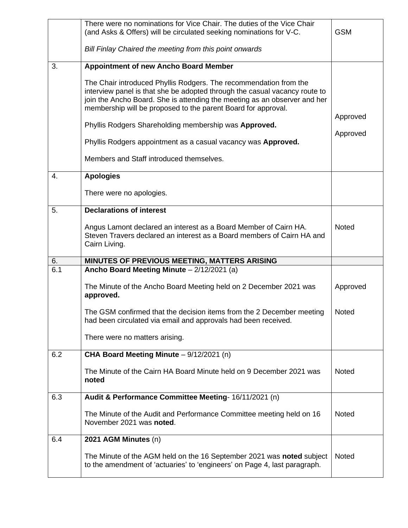|     | There were no nominations for Vice Chair. The duties of the Vice Chair<br>(and Asks & Offers) will be circulated seeking nominations for V-C.                                                                                                                                                 | <b>GSM</b>   |
|-----|-----------------------------------------------------------------------------------------------------------------------------------------------------------------------------------------------------------------------------------------------------------------------------------------------|--------------|
|     | Bill Finlay Chaired the meeting from this point onwards                                                                                                                                                                                                                                       |              |
| 3.  | <b>Appointment of new Ancho Board Member</b>                                                                                                                                                                                                                                                  |              |
|     | The Chair introduced Phyllis Rodgers. The recommendation from the<br>interview panel is that she be adopted through the casual vacancy route to<br>join the Ancho Board. She is attending the meeting as an observer and her<br>membership will be proposed to the parent Board for approval. | Approved     |
|     | Phyllis Rodgers Shareholding membership was Approved.                                                                                                                                                                                                                                         |              |
|     | Phyllis Rodgers appointment as a casual vacancy was Approved.                                                                                                                                                                                                                                 | Approved     |
|     | Members and Staff introduced themselves.                                                                                                                                                                                                                                                      |              |
| 4.  | <b>Apologies</b>                                                                                                                                                                                                                                                                              |              |
|     | There were no apologies.                                                                                                                                                                                                                                                                      |              |
| 5.  | <b>Declarations of interest</b>                                                                                                                                                                                                                                                               |              |
|     | Angus Lamont declared an interest as a Board Member of Cairn HA.<br>Steven Travers declared an interest as a Board members of Cairn HA and<br>Cairn Living.                                                                                                                                   | <b>Noted</b> |
|     |                                                                                                                                                                                                                                                                                               |              |
| 6.  | MINUTES OF PREVIOUS MEETING, MATTERS ARISING                                                                                                                                                                                                                                                  |              |
| 6.1 | Ancho Board Meeting Minute - 2/12/2021 (a)                                                                                                                                                                                                                                                    |              |
|     | The Minute of the Ancho Board Meeting held on 2 December 2021 was<br>approved.                                                                                                                                                                                                                | Approved     |
|     | The GSM confirmed that the decision items from the 2 December meeting<br>had been circulated via email and approvals had been received.                                                                                                                                                       | <b>Noted</b> |
|     | There were no matters arising.                                                                                                                                                                                                                                                                |              |
| 6.2 | CHA Board Meeting Minute - 9/12/2021 (n)                                                                                                                                                                                                                                                      |              |
|     | The Minute of the Cairn HA Board Minute held on 9 December 2021 was<br>noted                                                                                                                                                                                                                  | Noted        |
| 6.3 | Audit & Performance Committee Meeting- 16/11/2021 (n)                                                                                                                                                                                                                                         |              |
|     | The Minute of the Audit and Performance Committee meeting held on 16<br>November 2021 was noted.                                                                                                                                                                                              | <b>Noted</b> |
| 6.4 | 2021 AGM Minutes (n)                                                                                                                                                                                                                                                                          |              |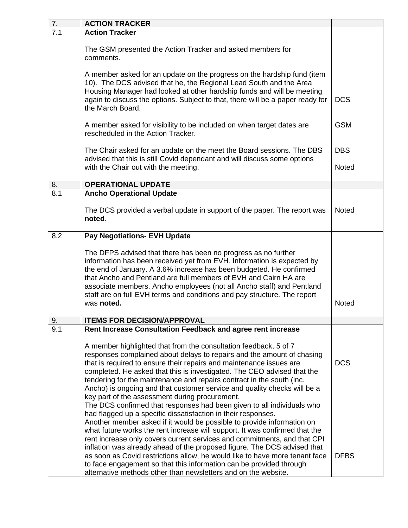| <b>ACTION TRACKER</b>                                                                                                                                                                                                                                                                                                                                                                                                                                                                                                                                                                                                                                                                                                                                                                                                                                                                                                                                                                                                                                                                                                 |                                                                                                                                                                     |
|-----------------------------------------------------------------------------------------------------------------------------------------------------------------------------------------------------------------------------------------------------------------------------------------------------------------------------------------------------------------------------------------------------------------------------------------------------------------------------------------------------------------------------------------------------------------------------------------------------------------------------------------------------------------------------------------------------------------------------------------------------------------------------------------------------------------------------------------------------------------------------------------------------------------------------------------------------------------------------------------------------------------------------------------------------------------------------------------------------------------------|---------------------------------------------------------------------------------------------------------------------------------------------------------------------|
| <b>Action Tracker</b>                                                                                                                                                                                                                                                                                                                                                                                                                                                                                                                                                                                                                                                                                                                                                                                                                                                                                                                                                                                                                                                                                                 |                                                                                                                                                                     |
| The GSM presented the Action Tracker and asked members for<br>comments.                                                                                                                                                                                                                                                                                                                                                                                                                                                                                                                                                                                                                                                                                                                                                                                                                                                                                                                                                                                                                                               |                                                                                                                                                                     |
| A member asked for an update on the progress on the hardship fund (item<br>10). The DCS advised that he, the Regional Lead South and the Area<br>Housing Manager had looked at other hardship funds and will be meeting<br>again to discuss the options. Subject to that, there will be a paper ready for<br>the March Board.                                                                                                                                                                                                                                                                                                                                                                                                                                                                                                                                                                                                                                                                                                                                                                                         | <b>DCS</b>                                                                                                                                                          |
| A member asked for visibility to be included on when target dates are<br>rescheduled in the Action Tracker.                                                                                                                                                                                                                                                                                                                                                                                                                                                                                                                                                                                                                                                                                                                                                                                                                                                                                                                                                                                                           | <b>GSM</b>                                                                                                                                                          |
| The Chair asked for an update on the meet the Board sessions. The DBS<br>advised that this is still Covid dependant and will discuss some options                                                                                                                                                                                                                                                                                                                                                                                                                                                                                                                                                                                                                                                                                                                                                                                                                                                                                                                                                                     | <b>DBS</b>                                                                                                                                                          |
| with the Chair out with the meeting.                                                                                                                                                                                                                                                                                                                                                                                                                                                                                                                                                                                                                                                                                                                                                                                                                                                                                                                                                                                                                                                                                  | Noted                                                                                                                                                               |
| <b>OPERATIONAL UPDATE</b>                                                                                                                                                                                                                                                                                                                                                                                                                                                                                                                                                                                                                                                                                                                                                                                                                                                                                                                                                                                                                                                                                             |                                                                                                                                                                     |
| <b>Ancho Operational Update</b>                                                                                                                                                                                                                                                                                                                                                                                                                                                                                                                                                                                                                                                                                                                                                                                                                                                                                                                                                                                                                                                                                       |                                                                                                                                                                     |
| The DCS provided a verbal update in support of the paper. The report was<br>noted.                                                                                                                                                                                                                                                                                                                                                                                                                                                                                                                                                                                                                                                                                                                                                                                                                                                                                                                                                                                                                                    | <b>Noted</b>                                                                                                                                                        |
| <b>Pay Negotiations- EVH Update</b>                                                                                                                                                                                                                                                                                                                                                                                                                                                                                                                                                                                                                                                                                                                                                                                                                                                                                                                                                                                                                                                                                   |                                                                                                                                                                     |
| The DFPS advised that there has been no progress as no further<br>information has been received yet from EVH. Information is expected by<br>the end of January. A 3.6% increase has been budgeted. He confirmed<br>that Ancho and Pentland are full members of EVH and Cairn HA are<br>associate members. Ancho employees (not all Ancho staff) and Pentland<br>staff are on full EVH terms and conditions and pay structure. The report<br>was noted.                                                                                                                                                                                                                                                                                                                                                                                                                                                                                                                                                                                                                                                                | <b>Noted</b>                                                                                                                                                        |
|                                                                                                                                                                                                                                                                                                                                                                                                                                                                                                                                                                                                                                                                                                                                                                                                                                                                                                                                                                                                                                                                                                                       |                                                                                                                                                                     |
| A member highlighted that from the consultation feedback, 5 of 7<br>responses complained about delays to repairs and the amount of chasing<br>that is required to ensure their repairs and maintenance issues are<br>completed. He asked that this is investigated. The CEO advised that the<br>tendering for the maintenance and repairs contract in the south (inc.<br>Ancho) is ongoing and that customer service and quality checks will be a<br>key part of the assessment during procurement.<br>The DCS confirmed that responses had been given to all individuals who<br>had flagged up a specific dissatisfaction in their responses.<br>Another member asked if it would be possible to provide information on<br>what future works the rent increase will support. It was confirmed that the<br>rent increase only covers current services and commitments, and that CPI<br>inflation was already ahead of the proposed figure. The DCS advised that<br>as soon as Covid restrictions allow, he would like to have more tenant face<br>to face engagement so that this information can be provided through | <b>DCS</b><br><b>DFBS</b>                                                                                                                                           |
|                                                                                                                                                                                                                                                                                                                                                                                                                                                                                                                                                                                                                                                                                                                                                                                                                                                                                                                                                                                                                                                                                                                       | <b>ITEMS FOR DECISION/APPROVAL</b><br>Rent Increase Consultation Feedback and agree rent increase<br>alternative methods other than newsletters and on the website. |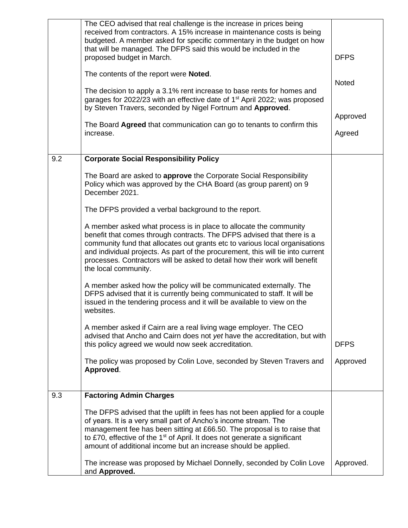| 9.2 | The CEO advised that real challenge is the increase in prices being<br>received from contractors. A 15% increase in maintenance costs is being<br>budgeted. A member asked for specific commentary in the budget on how<br>that will be managed. The DFPS said this would be included in the<br>proposed budget in March.<br>The contents of the report were <b>Noted</b> .<br>The decision to apply a 3.1% rent increase to base rents for homes and<br>garages for 2022/23 with an effective date of 1 <sup>st</sup> April 2022; was proposed<br>by Steven Travers, seconded by Nigel Fortnum and Approved.<br>The Board Agreed that communication can go to tenants to confirm this<br>increase.<br><b>Corporate Social Responsibility Policy</b> | <b>DFPS</b><br>Noted<br>Approved<br>Agreed |
|-----|------------------------------------------------------------------------------------------------------------------------------------------------------------------------------------------------------------------------------------------------------------------------------------------------------------------------------------------------------------------------------------------------------------------------------------------------------------------------------------------------------------------------------------------------------------------------------------------------------------------------------------------------------------------------------------------------------------------------------------------------------|--------------------------------------------|
|     | The Board are asked to approve the Corporate Social Responsibility                                                                                                                                                                                                                                                                                                                                                                                                                                                                                                                                                                                                                                                                                   |                                            |
|     | Policy which was approved by the CHA Board (as group parent) on 9<br>December 2021.                                                                                                                                                                                                                                                                                                                                                                                                                                                                                                                                                                                                                                                                  |                                            |
|     | The DFPS provided a verbal background to the report.                                                                                                                                                                                                                                                                                                                                                                                                                                                                                                                                                                                                                                                                                                 |                                            |
|     | A member asked what process is in place to allocate the community<br>benefit that comes through contracts. The DFPS advised that there is a<br>community fund that allocates out grants etc to various local organisations<br>and individual projects. As part of the procurement, this will tie into current<br>processes. Contractors will be asked to detail how their work will benefit<br>the local community.                                                                                                                                                                                                                                                                                                                                  |                                            |
|     | A member asked how the policy will be communicated externally. The<br>DFPS advised that it is currently being communicated to staff. It will be<br>issued in the tendering process and it will be available to view on the<br>websites.                                                                                                                                                                                                                                                                                                                                                                                                                                                                                                              |                                            |
|     | A member asked if Cairn are a real living wage employer. The CEO<br>advised that Ancho and Cairn does not yet have the accreditation, but with<br>this policy agreed we would now seek accreditation.                                                                                                                                                                                                                                                                                                                                                                                                                                                                                                                                                | <b>DFPS</b>                                |
|     | The policy was proposed by Colin Love, seconded by Steven Travers and<br>Approved.                                                                                                                                                                                                                                                                                                                                                                                                                                                                                                                                                                                                                                                                   | Approved                                   |
| 9.3 | <b>Factoring Admin Charges</b>                                                                                                                                                                                                                                                                                                                                                                                                                                                                                                                                                                                                                                                                                                                       |                                            |
|     | The DFPS advised that the uplift in fees has not been applied for a couple<br>of years. It is a very small part of Ancho's income stream. The<br>management fee has been sitting at £66.50. The proposal is to raise that<br>to £70, effective of the 1 <sup>st</sup> of April. It does not generate a significant<br>amount of additional income but an increase should be applied.                                                                                                                                                                                                                                                                                                                                                                 |                                            |
|     | The increase was proposed by Michael Donnelly, seconded by Colin Love<br>and Approved.                                                                                                                                                                                                                                                                                                                                                                                                                                                                                                                                                                                                                                                               | Approved.                                  |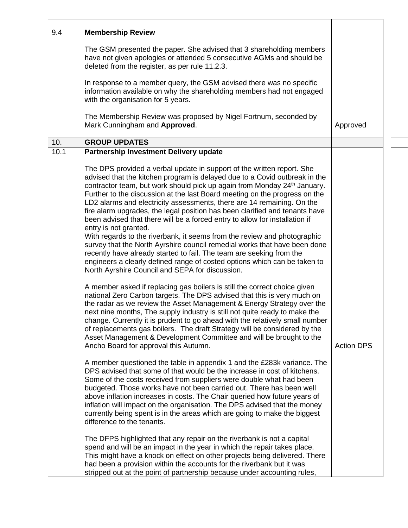| 9.4  | <b>Membership Review</b>                                                                                                                                                                                                                                                                                                                                                                                                                                                                                                                                                                                                                                                                                                                                                                                                                                                                                                                                                                                                                  |                   |
|------|-------------------------------------------------------------------------------------------------------------------------------------------------------------------------------------------------------------------------------------------------------------------------------------------------------------------------------------------------------------------------------------------------------------------------------------------------------------------------------------------------------------------------------------------------------------------------------------------------------------------------------------------------------------------------------------------------------------------------------------------------------------------------------------------------------------------------------------------------------------------------------------------------------------------------------------------------------------------------------------------------------------------------------------------|-------------------|
|      | The GSM presented the paper. She advised that 3 shareholding members<br>have not given apologies or attended 5 consecutive AGMs and should be<br>deleted from the register, as per rule 11.2.3.                                                                                                                                                                                                                                                                                                                                                                                                                                                                                                                                                                                                                                                                                                                                                                                                                                           |                   |
|      | In response to a member query, the GSM advised there was no specific<br>information available on why the shareholding members had not engaged<br>with the organisation for 5 years.                                                                                                                                                                                                                                                                                                                                                                                                                                                                                                                                                                                                                                                                                                                                                                                                                                                       |                   |
|      | The Membership Review was proposed by Nigel Fortnum, seconded by<br>Mark Cunningham and Approved.                                                                                                                                                                                                                                                                                                                                                                                                                                                                                                                                                                                                                                                                                                                                                                                                                                                                                                                                         | Approved          |
| 10.  | <b>GROUP UPDATES</b>                                                                                                                                                                                                                                                                                                                                                                                                                                                                                                                                                                                                                                                                                                                                                                                                                                                                                                                                                                                                                      |                   |
| 10.1 | <b>Partnership Investment Delivery update</b>                                                                                                                                                                                                                                                                                                                                                                                                                                                                                                                                                                                                                                                                                                                                                                                                                                                                                                                                                                                             |                   |
|      | The DPS provided a verbal update in support of the written report. She<br>advised that the kitchen program is delayed due to a Covid outbreak in the<br>contractor team, but work should pick up again from Monday 24 <sup>th</sup> January.<br>Further to the discussion at the last Board meeting on the progress on the<br>LD2 alarms and electricity assessments, there are 14 remaining. On the<br>fire alarm upgrades, the legal position has been clarified and tenants have<br>been advised that there will be a forced entry to allow for installation if<br>entry is not granted.<br>With regards to the riverbank, it seems from the review and photographic<br>survey that the North Ayrshire council remedial works that have been done<br>recently have already started to fail. The team are seeking from the<br>engineers a clearly defined range of costed options which can be taken to<br>North Ayrshire Council and SEPA for discussion.<br>A member asked if replacing gas boilers is still the correct choice given |                   |
|      | national Zero Carbon targets. The DPS advised that this is very much on<br>the radar as we review the Asset Management & Energy Strategy over the<br>next nine months, The supply industry is still not quite ready to make the<br>change. Currently it is prudent to go ahead with the relatively small number<br>of replacements gas boilers. The draft Strategy will be considered by the<br>Asset Management & Development Committee and will be brought to the<br>Ancho Board for approval this Autumn.                                                                                                                                                                                                                                                                                                                                                                                                                                                                                                                              | <b>Action DPS</b> |
|      | A member questioned the table in appendix 1 and the £283k variance. The<br>DPS advised that some of that would be the increase in cost of kitchens.<br>Some of the costs received from suppliers were double what had been<br>budgeted. Those works have not been carried out. There has been well<br>above inflation increases in costs. The Chair queried how future years of<br>inflation will impact on the organisation. The DPS advised that the money<br>currently being spent is in the areas which are going to make the biggest<br>difference to the tenants.                                                                                                                                                                                                                                                                                                                                                                                                                                                                   |                   |
|      | The DFPS highlighted that any repair on the riverbank is not a capital<br>spend and will be an impact in the year in which the repair takes place.<br>This might have a knock on effect on other projects being delivered. There<br>had been a provision within the accounts for the riverbank but it was<br>stripped out at the point of partnership because under accounting rules,                                                                                                                                                                                                                                                                                                                                                                                                                                                                                                                                                                                                                                                     |                   |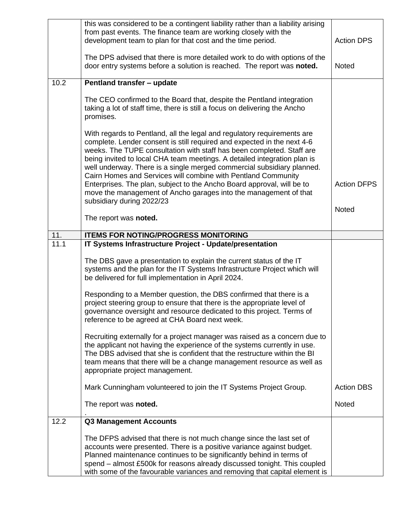|      | this was considered to be a contingent liability rather than a liability arising<br>from past events. The finance team are working closely with the<br>development team to plan for that cost and the time period.<br>The DPS advised that there is more detailed work to do with options of the<br>door entry systems before a solution is reached. The report was noted.                                                                                                                                                                                                                       | <b>Action DPS</b><br>Noted |
|------|--------------------------------------------------------------------------------------------------------------------------------------------------------------------------------------------------------------------------------------------------------------------------------------------------------------------------------------------------------------------------------------------------------------------------------------------------------------------------------------------------------------------------------------------------------------------------------------------------|----------------------------|
| 10.2 | <b>Pentland transfer - update</b>                                                                                                                                                                                                                                                                                                                                                                                                                                                                                                                                                                |                            |
|      | The CEO confirmed to the Board that, despite the Pentland integration<br>taking a lot of staff time, there is still a focus on delivering the Ancho<br>promises.                                                                                                                                                                                                                                                                                                                                                                                                                                 |                            |
|      | With regards to Pentland, all the legal and regulatory requirements are<br>complete. Lender consent is still required and expected in the next 4-6<br>weeks. The TUPE consultation with staff has been completed. Staff are<br>being invited to local CHA team meetings. A detailed integration plan is<br>well underway. There is a single merged commercial subsidiary planned.<br>Cairn Homes and Services will combine with Pentland Community<br>Enterprises. The plan, subject to the Ancho Board approval, will be to<br>move the management of Ancho garages into the management of that | <b>Action DFPS</b>         |
|      | subsidiary during 2022/23                                                                                                                                                                                                                                                                                                                                                                                                                                                                                                                                                                        | Noted                      |
|      | The report was noted.                                                                                                                                                                                                                                                                                                                                                                                                                                                                                                                                                                            |                            |
| 11.  | <b>ITEMS FOR NOTING/PROGRESS MONITORING</b>                                                                                                                                                                                                                                                                                                                                                                                                                                                                                                                                                      |                            |
| 11.1 | IT Systems Infrastructure Project - Update/presentation                                                                                                                                                                                                                                                                                                                                                                                                                                                                                                                                          |                            |
|      | The DBS gave a presentation to explain the current status of the IT<br>systems and the plan for the IT Systems Infrastructure Project which will<br>be delivered for full implementation in April 2024.                                                                                                                                                                                                                                                                                                                                                                                          |                            |
|      | Responding to a Member question, the DBS confirmed that there is a<br>project steering group to ensure that there is the appropriate level of<br>governance oversight and resource dedicated to this project. Terms of<br>reference to be agreed at CHA Board next week.                                                                                                                                                                                                                                                                                                                         |                            |
|      | Recruiting externally for a project manager was raised as a concern due to<br>the applicant not having the experience of the systems currently in use.<br>The DBS advised that she is confident that the restructure within the BI<br>team means that there will be a change management resource as well as<br>appropriate project management.                                                                                                                                                                                                                                                   |                            |
|      | Mark Cunningham volunteered to join the IT Systems Project Group.                                                                                                                                                                                                                                                                                                                                                                                                                                                                                                                                | <b>Action DBS</b>          |
|      | The report was noted.                                                                                                                                                                                                                                                                                                                                                                                                                                                                                                                                                                            | Noted                      |
| 12.2 | <b>Q3 Management Accounts</b>                                                                                                                                                                                                                                                                                                                                                                                                                                                                                                                                                                    |                            |
|      | The DFPS advised that there is not much change since the last set of<br>accounts were presented. There is a positive variance against budget.<br>Planned maintenance continues to be significantly behind in terms of<br>spend - almost £500k for reasons already discussed tonight. This coupled<br>with some of the favourable variances and removing that capital element is                                                                                                                                                                                                                  |                            |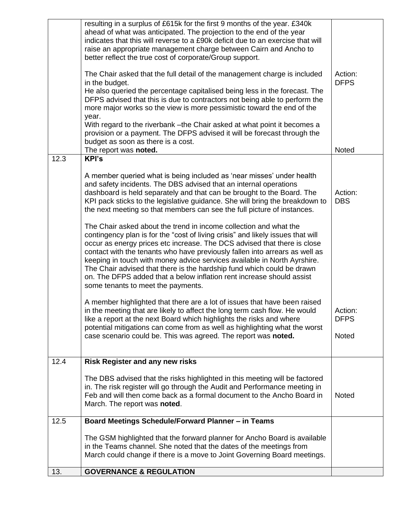|      | resulting in a surplus of £615k for the first 9 months of the year. £340k<br>ahead of what was anticipated. The projection to the end of the year<br>indicates that this will reverse to a £90k deficit due to an exercise that will<br>raise an appropriate management charge between Cairn and Ancho to<br>better reflect the true cost of corporate/Group support.<br>The Chair asked that the full detail of the management charge is included<br>in the budget.<br>He also queried the percentage capitalised being less in the forecast. The<br>DFPS advised that this is due to contractors not being able to perform the<br>more major works so the view is more pessimistic toward the end of the<br>year.<br>With regard to the riverbank - the Chair asked at what point it becomes a                                                                                                                                                                                                                                                                                                                                                                                                                                                                                                                                                                           | Action:<br><b>DFPS</b>                                   |
|------|----------------------------------------------------------------------------------------------------------------------------------------------------------------------------------------------------------------------------------------------------------------------------------------------------------------------------------------------------------------------------------------------------------------------------------------------------------------------------------------------------------------------------------------------------------------------------------------------------------------------------------------------------------------------------------------------------------------------------------------------------------------------------------------------------------------------------------------------------------------------------------------------------------------------------------------------------------------------------------------------------------------------------------------------------------------------------------------------------------------------------------------------------------------------------------------------------------------------------------------------------------------------------------------------------------------------------------------------------------------------------|----------------------------------------------------------|
|      | provision or a payment. The DFPS advised it will be forecast through the<br>budget as soon as there is a cost.                                                                                                                                                                                                                                                                                                                                                                                                                                                                                                                                                                                                                                                                                                                                                                                                                                                                                                                                                                                                                                                                                                                                                                                                                                                             |                                                          |
|      | The report was noted.                                                                                                                                                                                                                                                                                                                                                                                                                                                                                                                                                                                                                                                                                                                                                                                                                                                                                                                                                                                                                                                                                                                                                                                                                                                                                                                                                      | Noted                                                    |
| 12.3 | <b>KPI's</b><br>A member queried what is being included as 'near misses' under health<br>and safety incidents. The DBS advised that an internal operations<br>dashboard is held separately and that can be brought to the Board. The<br>KPI pack sticks to the legislative guidance. She will bring the breakdown to<br>the next meeting so that members can see the full picture of instances.<br>The Chair asked about the trend in income collection and what the<br>contingency plan is for the "cost of living crisis" and likely issues that will<br>occur as energy prices etc increase. The DCS advised that there is close<br>contact with the tenants who have previously fallen into arrears as well as<br>keeping in touch with money advice services available in North Ayrshire.<br>The Chair advised that there is the hardship fund which could be drawn<br>on. The DFPS added that a below inflation rent increase should assist<br>some tenants to meet the payments.<br>A member highlighted that there are a lot of issues that have been raised<br>in the meeting that are likely to affect the long term cash flow. He would<br>like a report at the next Board which highlights the risks and where<br>potential mitigations can come from as well as highlighting what the worst<br>case scenario could be. This was agreed. The report was noted. | Action:<br><b>DBS</b><br>Action:<br><b>DFPS</b><br>Noted |
| 12.4 | <b>Risk Register and any new risks</b>                                                                                                                                                                                                                                                                                                                                                                                                                                                                                                                                                                                                                                                                                                                                                                                                                                                                                                                                                                                                                                                                                                                                                                                                                                                                                                                                     |                                                          |
|      | The DBS advised that the risks highlighted in this meeting will be factored<br>in. The risk register will go through the Audit and Performance meeting in<br>Feb and will then come back as a formal document to the Ancho Board in<br>March. The report was noted.                                                                                                                                                                                                                                                                                                                                                                                                                                                                                                                                                                                                                                                                                                                                                                                                                                                                                                                                                                                                                                                                                                        | Noted                                                    |
| 12.5 | <b>Board Meetings Schedule/Forward Planner - in Teams</b>                                                                                                                                                                                                                                                                                                                                                                                                                                                                                                                                                                                                                                                                                                                                                                                                                                                                                                                                                                                                                                                                                                                                                                                                                                                                                                                  |                                                          |
|      | The GSM highlighted that the forward planner for Ancho Board is available<br>in the Teams channel. She noted that the dates of the meetings from<br>March could change if there is a move to Joint Governing Board meetings.                                                                                                                                                                                                                                                                                                                                                                                                                                                                                                                                                                                                                                                                                                                                                                                                                                                                                                                                                                                                                                                                                                                                               |                                                          |
| 13.  | <b>GOVERNANCE &amp; REGULATION</b>                                                                                                                                                                                                                                                                                                                                                                                                                                                                                                                                                                                                                                                                                                                                                                                                                                                                                                                                                                                                                                                                                                                                                                                                                                                                                                                                         |                                                          |